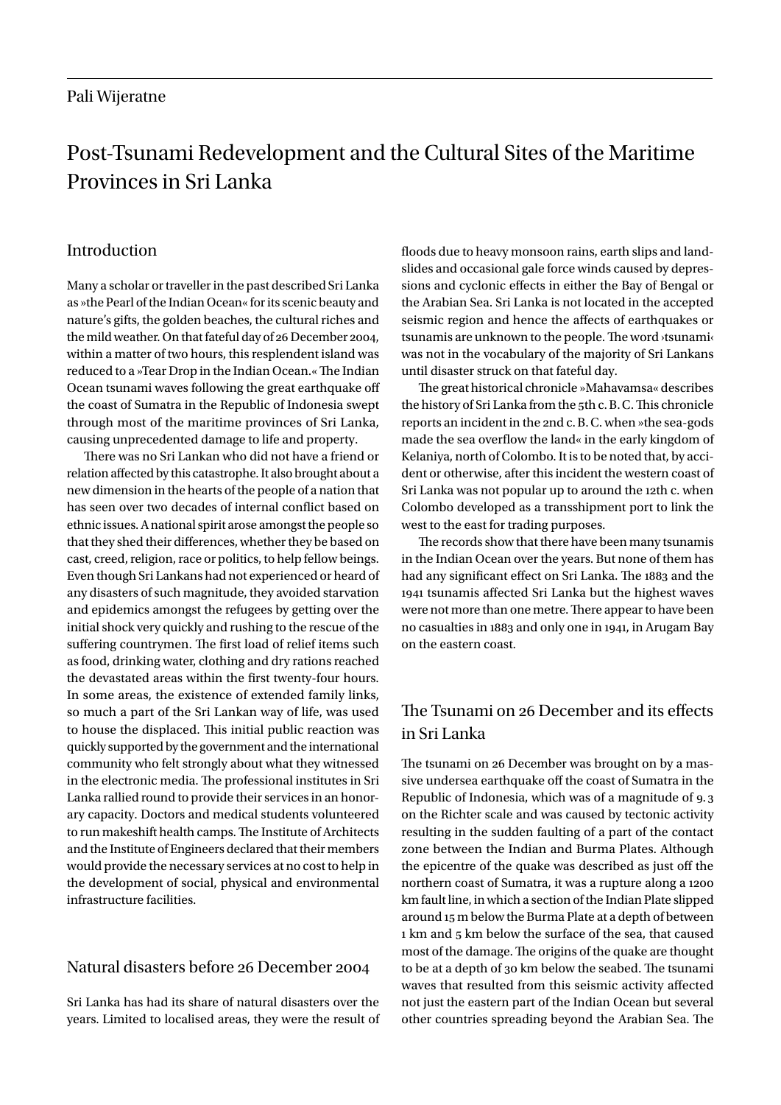# Post-Tsunami Redevelopment and the Cultural Sites of the Maritime Provinces in Sri Lanka

## Introduction

Many a scholar or traveller in the past described Sri Lanka as »the Pearl of the Indian Ocean« for its scenic beauty and nature's gifts, the golden beaches, the cultural riches and the mild weather. On that fateful day of 26 December 2004, within a matter of two hours, this resplendent island was reduced to a »Tear Drop in the Indian Ocean.« The Indian Ocean tsunami waves following the great earthquake off the coast of Sumatra in the Republic of Indonesia swept through most of the maritime provinces of Sri Lanka, causing unprecedented damage to life and property.

There was no Sri Lankan who did not have a friend or relation affected by this catastrophe. It also brought about a new dimension in the hearts of the people of a nation that has seen over two decades of internal conflict based on ethnic issues. A national spirit arose amongst the people so that they shed their differences, whether they be based on cast, creed, religion, race or politics, to help fellow beings. Even though Sri Lankans had not experienced or heard of any disasters of such magnitude, they avoided starvation and epidemics amongst the refugees by getting over the initial shock very quickly and rushing to the rescue of the suffering countrymen. The first load of relief items such as food, drinking water, clothing and dry rations reached the devastated areas within the first twenty-four hours. In some areas, the existence of extended family links, so much a part of the Sri Lankan way of life, was used to house the displaced. This initial public reaction was quickly supported by the government and the international community who felt strongly about what they witnessed in the electronic media. The professional institutes in Sri Lanka rallied round to provide their services in an honorary capacity. Doctors and medical students volunteered to run makeshift health camps. The Institute of Architects and the Institute of Engineers declared that their members would provide the necessary services at no cost to help in the development of social, physical and environmental infrastructure facilities.

# Natural disasters before 26 December 2004

Sri Lanka has had its share of natural disasters over the years. Limited to localised areas, they were the result of floods due to heavy monsoon rains, earth slips and landslides and occasional gale force winds caused by depressions and cyclonic effects in either the Bay of Bengal or the Arabian Sea. Sri Lanka is not located in the accepted seismic region and hence the affects of earthquakes or tsunamis are unknown to the people. The word ›tsunami‹ was not in the vocabulary of the majority of Sri Lankans until disaster struck on that fateful day.

The great historical chronicle »Mahavamsa« describes the history of Sri Lanka from the 5th c.B.C. This chronicle reports an incident in the 2nd c.B.C. when »the sea-gods made the sea overflow the land« in the early kingdom of Kelaniya, north of Colombo. It is to be noted that, by accident or otherwise, after this incident the western coast of Sri Lanka was not popular up to around the 12th c. when Colombo developed as a transshipment port to link the west to the east for trading purposes.

The records show that there have been many tsunamis in the Indian Ocean over the years. But none of them has had any significant effect on Sri Lanka. The 1883 and the 1941 tsunamis affected Sri Lanka but the highest waves were not more than one metre. There appear to have been no casualties in 1883 and only one in 1941, in Arugam Bay on the eastern coast.

# The Tsunami on 26 December and its effects in Sri Lanka

The tsunami on 26 December was brought on by a massive undersea earthquake off the coast of Sumatra in the Republic of Indonesia, which was of a magnitude of 9. 3 on the Richter scale and was caused by tectonic activity resulting in the sudden faulting of a part of the contact zone between the Indian and Burma Plates. Although the epicentre of the quake was described as just off the northern coast of Sumatra, it was a rupture along a 1200 km fault line, in which a section of the Indian Plate slipped around 15 m below the Burma Plate at a depth of between 1 km and 5 km below the surface of the sea, that caused most of the damage. The origins of the quake are thought to be at a depth of 30 km below the seabed. The tsunami waves that resulted from this seismic activity affected not just the eastern part of the Indian Ocean but several other countries spreading beyond the Arabian Sea. The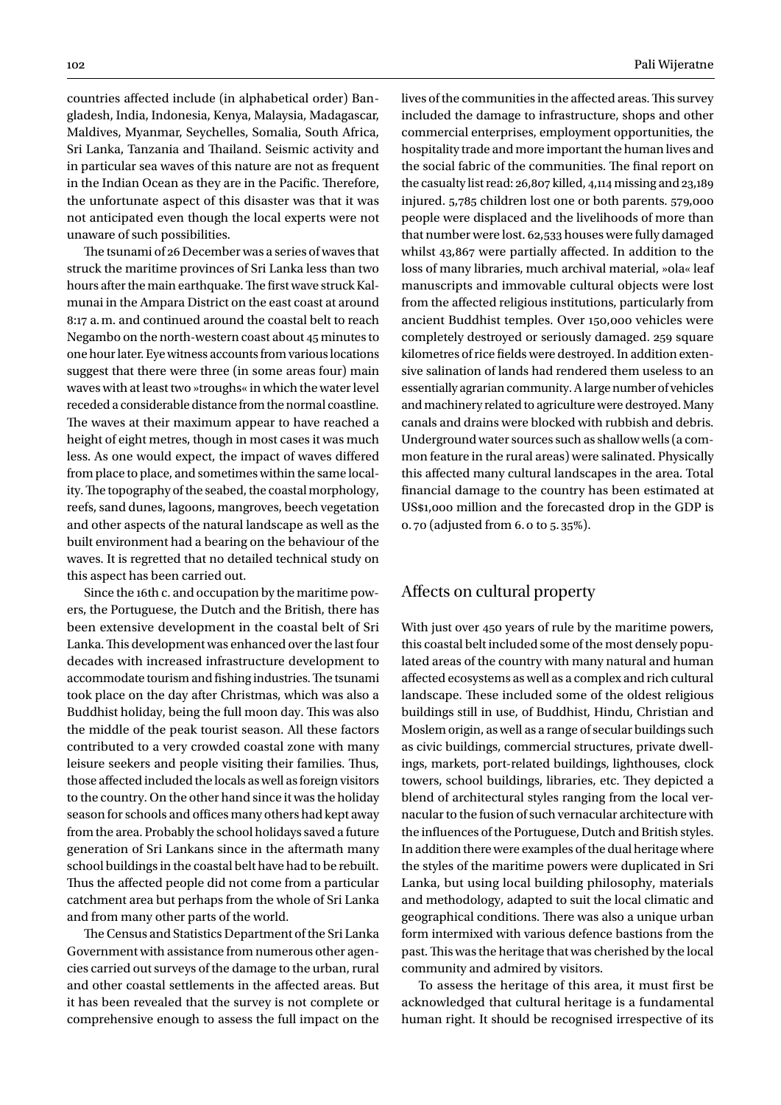countries affected include (in alphabetical order) Bangladesh, India, Indonesia, Kenya, Malaysia, Madagascar, Maldives, Myanmar, Seychelles, Somalia, South Africa, Sri Lanka, Tanzania and Thailand. Seismic activity and in particular sea waves of this nature are not as frequent in the Indian Ocean as they are in the Pacific. Therefore, the unfortunate aspect of this disaster was that it was not anticipated even though the local experts were not unaware of such possibilities.

The tsunami of 26 December was a series of waves that struck the maritime provinces of Sri Lanka less than two hours after the main earthquake. The first wave struck Kalmunai in the Ampara District on the east coast at around 8:17 a.m. and continued around the coastal belt to reach Negambo on the north-western coast about 45 minutes to one hour later. Eye witness accounts from various locations suggest that there were three (in some areas four) main waves with at least two »troughs« in which the water level receded a considerable distance from the normal coastline. The waves at their maximum appear to have reached a height of eight metres, though in most cases it was much less. As one would expect, the impact of waves differed from place to place, and sometimes within the same locality. The topography of the seabed, the coastal morphology, reefs, sand dunes, lagoons, mangroves, beech vegetation and other aspects of the natural landscape as well as the built environment had a bearing on the behaviour of the waves. It is regretted that no detailed technical study on this aspect has been carried out.

Since the 16th c. and occupation by the maritime powers, the Portuguese, the Dutch and the British, there has been extensive development in the coastal belt of Sri Lanka. This development was enhanced over the last four decades with increased infrastructure development to accommodate tourism and fishing industries. The tsunami took place on the day after Christmas, which was also a Buddhist holiday, being the full moon day. This was also the middle of the peak tourist season. All these factors contributed to a very crowded coastal zone with many leisure seekers and people visiting their families. Thus, those affected included the locals as well as foreign visitors to the country. On the other hand since it was the holiday season for schools and offices many others had kept away from the area. Probably the school holidays saved a future generation of Sri Lankans since in the aftermath many school buildings in the coastal belt have had to be rebuilt. Thus the affected people did not come from a particular catchment area but perhaps from the whole of Sri Lanka and from many other parts of the world.

The Census and Statistics Department of the Sri Lanka Government with assistance from numerous other agencies carried out surveys of the damage to the urban, rural and other coastal settlements in the affected areas. But it has been revealed that the survey is not complete or comprehensive enough to assess the full impact on the lives of the communities in the affected areas. This survey included the damage to infrastructure, shops and other commercial enterprises, employment opportunities, the hospitality trade and more important the human lives and the social fabric of the communities. The final report on the casualty list read: 26,807 killed, 4,114 missing and 23,189 injured. 5,785 children lost one or both parents. 579,000 people were displaced and the livelihoods of more than that number were lost. 62,533 houses were fully damaged whilst 43,867 were partially affected. In addition to the loss of many libraries, much archival material, »ola« leaf manuscripts and immovable cultural objects were lost from the affected religious institutions, particularly from ancient Buddhist temples. Over 150,000 vehicles were completely destroyed or seriously damaged. 259 square kilometres of rice fields were destroyed. In addition extensive salination of lands had rendered them useless to an essentially agrarian community. A large number of vehicles and machinery related to agriculture were destroyed. Many canals and drains were blocked with rubbish and debris. Underground water sources such as shallow wells (a common feature in the rural areas) were salinated. Physically this affected many cultural landscapes in the area. Total financial damage to the country has been estimated at US\$1,000 million and the forecasted drop in the GDP is 0. 70 (adjusted from 6.0 to 5. 35%).

#### Affects on cultural property

With just over 450 years of rule by the maritime powers, this coastal belt included some of the most densely populated areas of the country with many natural and human affected ecosystems as well as a complex and rich cultural landscape. These included some of the oldest religious buildings still in use, of Buddhist, Hindu, Christian and Moslem origin, as well as a range of secular buildings such as civic buildings, commercial structures, private dwellings, markets, port-related buildings, lighthouses, clock towers, school buildings, libraries, etc. They depicted a blend of architectural styles ranging from the local vernacular to the fusion of such vernacular architecture with the influences of the Portuguese, Dutch and British styles. In addition there were examples of the dual heritage where the styles of the maritime powers were duplicated in Sri Lanka, but using local building philosophy, materials and methodology, adapted to suit the local climatic and geographical conditions. There was also a unique urban form intermixed with various defence bastions from the past. This was the heritage that was cherished by the local community and admired by visitors.

To assess the heritage of this area, it must first be acknowledged that cultural heritage is a fundamental human right. It should be recognised irrespective of its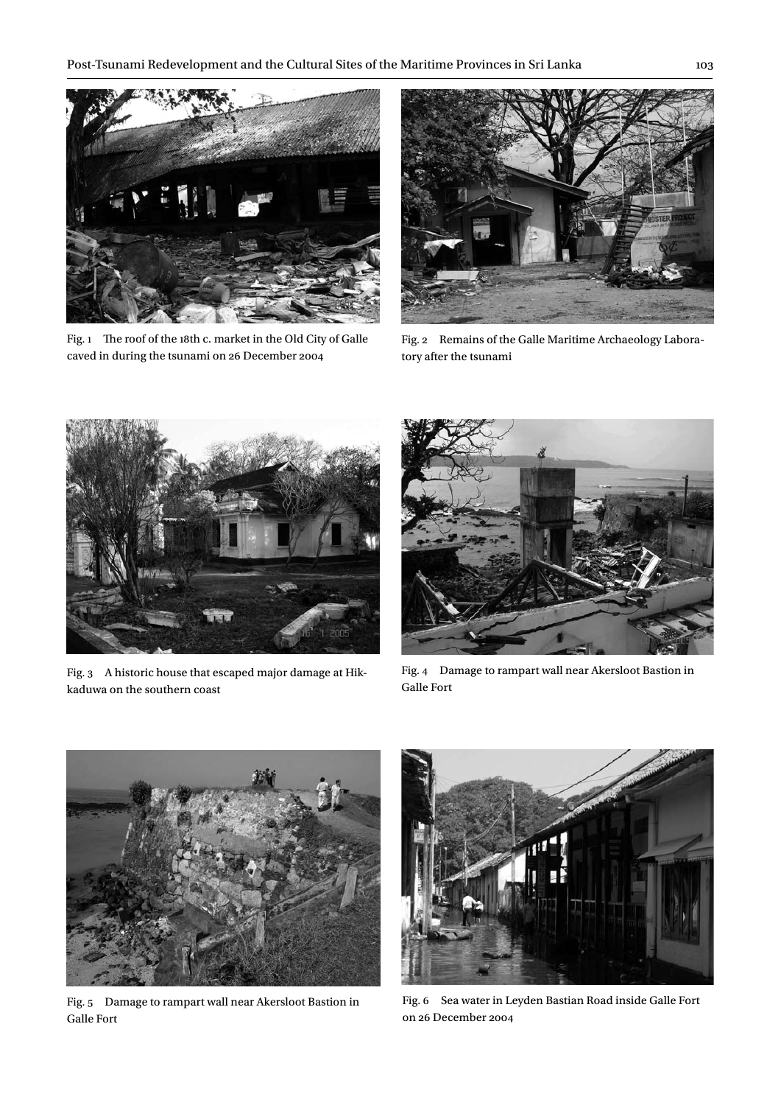

Fig. 1 The roof of the 18th c. market in the Old City of Galle caved in during the tsunami on 26 December 2004



Fig. 2 Remains of the Galle Maritime Archaeology Laboratory after the tsunami



Fig. 3 A historic house that escaped major damage at Hikkaduwa on the southern coast



Fig. 4 Damage to rampart wall near Akersloot Bastion in Galle Fort



Fig. 5 Damage to rampart wall near Akersloot Bastion in Galle Fort



Fig. 6 Sea water in Leyden Bastian Road inside Galle Fort on 26 December 2004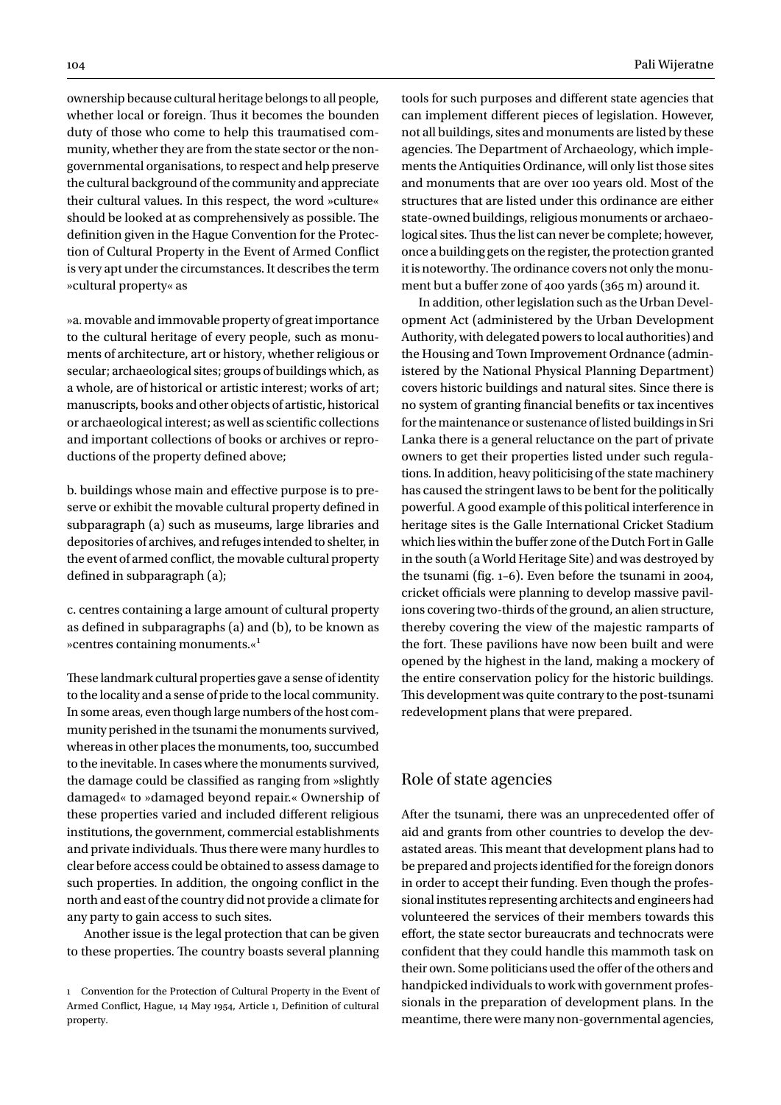ownership because cultural heritage belongs to all people, whether local or foreign. Thus it becomes the bounden duty of those who come to help this traumatised community, whether they are from the state sector or the nongovernmental organisations, to respect and help preserve the cultural background of the community and appreciate their cultural values. In this respect, the word »culture« should be looked at as comprehensively as possible. The definition given in the Hague Convention for the Protection of Cultural Property in the Event of Armed Conflict is very apt under the circumstances. It describes the term »cultural property« as

»a. movable and immovable property of great importance to the cultural heritage of every people, such as monuments of architecture, art or history, whether religious or secular; archaeological sites; groups of buildings which, as a whole, are of historical or artistic interest; works of art; manuscripts, books and other objects of artistic, historical or archaeological interest; as well as scientific collections and important collections of books or archives or reproductions of the property defined above;

b. buildings whose main and effective purpose is to preserve or exhibit the movable cultural property defined in subparagraph (a) such as museums, large libraries and depositories of archives, and refuges intended to shelter, in the event of armed conflict, the movable cultural property defined in subparagraph (a);

c. centres containing a large amount of cultural property as defined in subparagraphs (a) and (b), to be known as »centres containing monuments.«1

These landmark cultural properties gave a sense of identity to the locality and a sense of pride to the local community. In some areas, even though large numbers of the host community perished in the tsunami the monuments survived, whereas in other places the monuments, too, succumbed to the inevitable. In cases where the monuments survived, the damage could be classified as ranging from »slightly damaged« to »damaged beyond repair.« Ownership of these properties varied and included different religious institutions, the government, commercial establishments and private individuals. Thus there were many hurdles to clear before access could be obtained to assess damage to such properties. In addition, the ongoing conflict in the north and east of the country did not provide a climate for any party to gain access to such sites.

Another issue is the legal protection that can be given to these properties. The country boasts several planning tools for such purposes and different state agencies that can implement different pieces of legislation. However, not all buildings, sites and monuments are listed by these agencies. The Department of Archaeology, which implements the Antiquities Ordinance, will only list those sites and monuments that are over 100 years old. Most of the structures that are listed under this ordinance are either state-owned buildings, religious monuments or archaeological sites. Thus the list can never be complete; however, once a building gets on the register, the protection granted it is noteworthy. The ordinance covers not only the monument but a buffer zone of 400 yards (365 m) around it.

In addition, other legislation such as the Urban Development Act (administered by the Urban Development Authority, with delegated powers to local authorities) and the Housing and Town Improvement Ordnance (administered by the National Physical Planning Department) covers historic buildings and natural sites. Since there is no system of granting financial benefits or tax incentives for the maintenance or sustenance of listed buildings in Sri Lanka there is a general reluctance on the part of private owners to get their properties listed under such regulations. In addition, heavy politicising of the state machinery has caused the stringent laws to be bent for the politically powerful. A good example of this political interference in heritage sites is the Galle International Cricket Stadium which lies within the buffer zone of the Dutch Fort in Galle in the south (a World Heritage Site) and was destroyed by the tsunami (fig. 1–6). Even before the tsunami in 2004, cricket officials were planning to develop massive pavilions covering two-thirds of the ground, an alien structure, thereby covering the view of the majestic ramparts of the fort. These pavilions have now been built and were opened by the highest in the land, making a mockery of the entire conservation policy for the historic buildings. This development was quite contrary to the post-tsunami redevelopment plans that were prepared.

## Role of state agencies

After the tsunami, there was an unprecedented offer of aid and grants from other countries to develop the devastated areas. This meant that development plans had to be prepared and projects identified for the foreign donors in order to accept their funding. Even though the professional institutes representing architects and engineers had volunteered the services of their members towards this effort, the state sector bureaucrats and technocrats were confident that they could handle this mammoth task on their own. Some politicians used the offer of the others and handpicked individuals to work with government professionals in the preparation of development plans. In the meantime, there were many non-governmental agencies,

<sup>1</sup> Convention for the Protection of Cultural Property in the Event of Armed Conflict, Hague, 14 May 1954, Article 1, Definition of cultural property.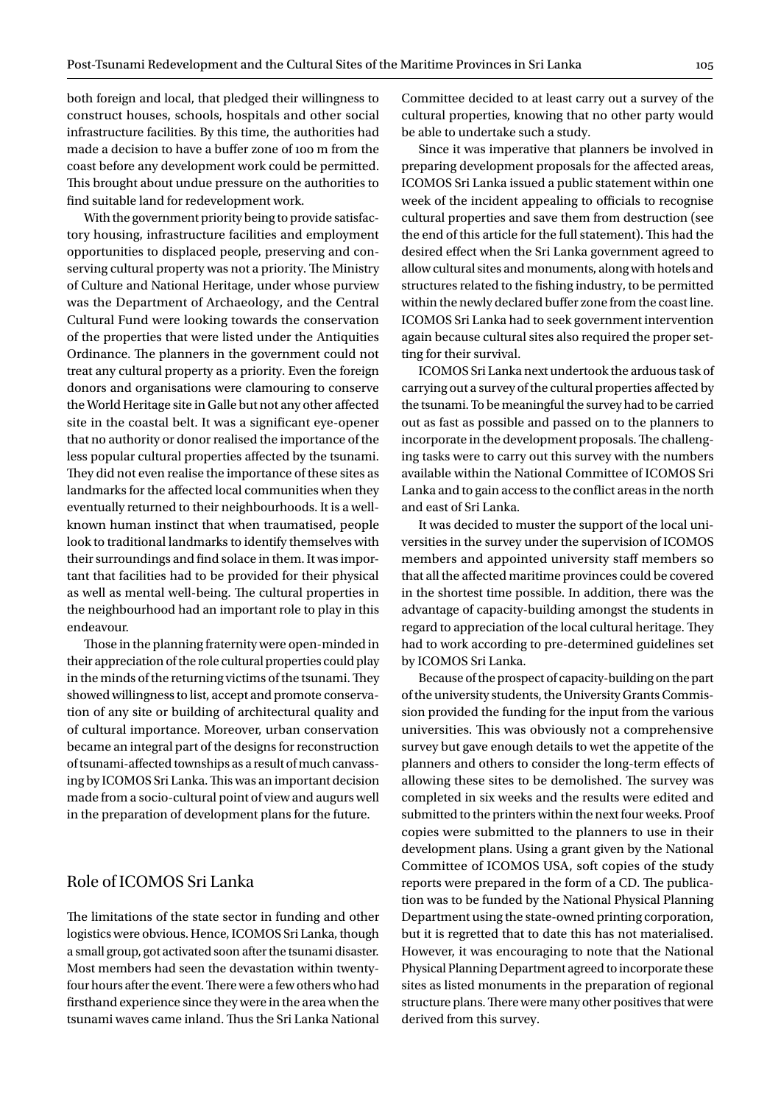both foreign and local, that pledged their willingness to construct houses, schools, hospitals and other social infrastructure facilities. By this time, the authorities had made a decision to have a buffer zone of 100 m from the coast before any development work could be permitted. This brought about undue pressure on the authorities to find suitable land for redevelopment work.

With the government priority being to provide satisfactory housing, infrastructure facilities and employment opportunities to displaced people, preserving and conserving cultural property was not a priority. The Ministry of Culture and National Heritage, under whose purview was the Department of Archaeology, and the Central Cultural Fund were looking towards the conservation of the properties that were listed under the Antiquities Ordinance. The planners in the government could not treat any cultural property as a priority. Even the foreign donors and organisations were clamouring to conserve the World Heritage site in Galle but not any other affected site in the coastal belt. It was a significant eye-opener that no authority or donor realised the importance of the less popular cultural properties affected by the tsunami. They did not even realise the importance of these sites as landmarks for the affected local communities when they eventually returned to their neighbourhoods. It is a wellknown human instinct that when traumatised, people look to traditional landmarks to identify themselves with their surroundings and find solace in them. It was important that facilities had to be provided for their physical as well as mental well-being. The cultural properties in the neighbourhood had an important role to play in this endeavour.

Those in the planning fraternity were open-minded in their appreciation of the role cultural properties could play in the minds of the returning victims of the tsunami. They showed willingness to list, accept and promote conservation of any site or building of architectural quality and of cultural importance. Moreover, urban conservation became an integral part of the designs for reconstruction of tsunami-affected townships as a result of much canvassing by ICOMOS Sri Lanka. This was an important decision made from a socio-cultural point of view and augurs well in the preparation of development plans for the future.

## Role of ICOMOS Sri Lanka

The limitations of the state sector in funding and other logistics were obvious. Hence, ICOMOS Sri Lanka, though a small group, got activated soon after the tsunami disaster. Most members had seen the devastation within twentyfour hours after the event. There were a few others who had firsthand experience since they were in the area when the tsunami waves came inland. Thus the Sri Lanka National Committee decided to at least carry out a survey of the cultural properties, knowing that no other party would be able to undertake such a study.

Since it was imperative that planners be involved in preparing development proposals for the affected areas, ICOMOS Sri Lanka issued a public statement within one week of the incident appealing to officials to recognise cultural properties and save them from destruction (see the end of this article for the full statement). This had the desired effect when the Sri Lanka government agreed to allow cultural sites and monuments, along with hotels and structures related to the fishing industry, to be permitted within the newly declared buffer zone from the coast line. ICOMOS Sri Lanka had to seek government intervention again because cultural sites also required the proper setting for their survival.

ICOMOS Sri Lanka next undertook the arduous task of carrying out a survey of the cultural properties affected by the tsunami. To be meaningful the survey had to be carried out as fast as possible and passed on to the planners to incorporate in the development proposals. The challenging tasks were to carry out this survey with the numbers available within the National Committee of ICOMOS Sri Lanka and to gain access to the conflict areas in the north and east of Sri Lanka.

It was decided to muster the support of the local universities in the survey under the supervision of ICOMOS members and appointed university staff members so that all the affected maritime provinces could be covered in the shortest time possible. In addition, there was the advantage of capacity-building amongst the students in regard to appreciation of the local cultural heritage. They had to work according to pre-determined guidelines set by ICOMOS Sri Lanka.

Because of the prospect of capacity-building on the part of the university students, the University Grants Commission provided the funding for the input from the various universities. This was obviously not a comprehensive survey but gave enough details to wet the appetite of the planners and others to consider the long-term effects of allowing these sites to be demolished. The survey was completed in six weeks and the results were edited and submitted to the printers within the next four weeks. Proof copies were submitted to the planners to use in their development plans. Using a grant given by the National Committee of ICOMOS USA, soft copies of the study reports were prepared in the form of a CD. The publication was to be funded by the National Physical Planning Department using the state-owned printing corporation, but it is regretted that to date this has not materialised. However, it was encouraging to note that the National Physical Planning Department agreed to incorporate these sites as listed monuments in the preparation of regional structure plans. There were many other positives that were derived from this survey.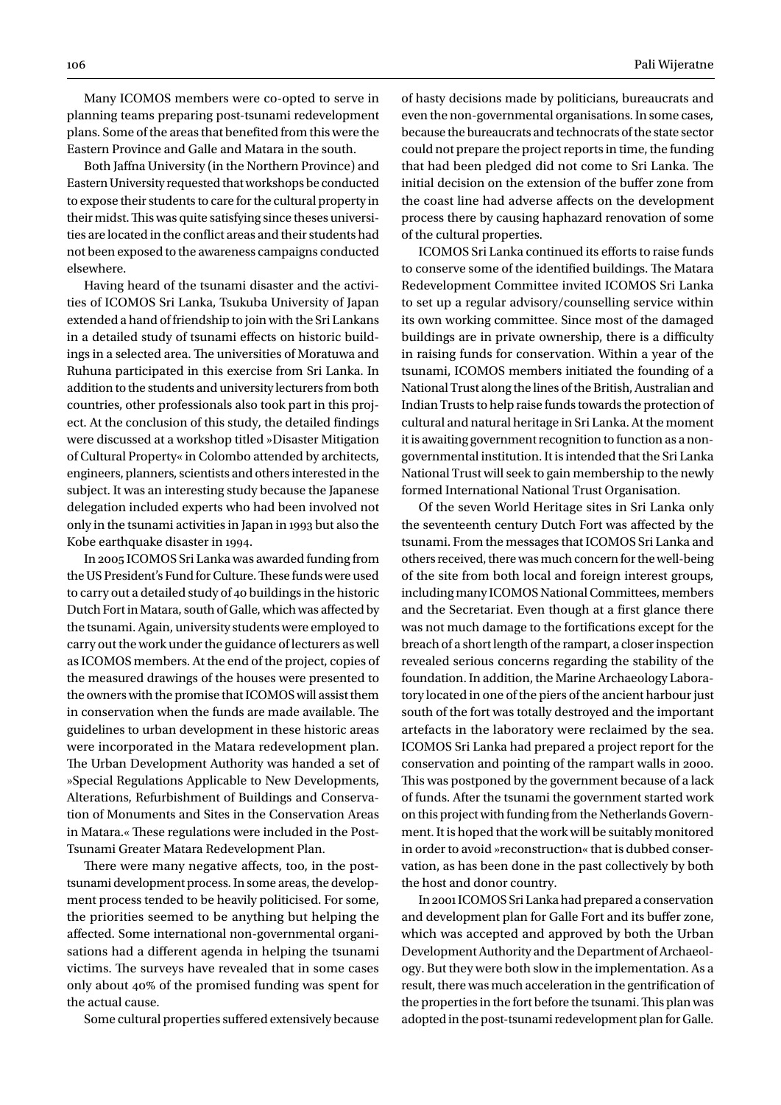Many ICOMOS members were co-opted to serve in planning teams preparing post-tsunami redevelopment plans. Some of the areas that benefited from this were the Eastern Province and Galle and Matara in the south.

Both Jaffna University (in the Northern Province) and Eastern University requested that workshops be conducted to expose their students to care for the cultural property in their midst. This was quite satisfying since theses universities are located in the conflict areas and their students had not been exposed to the awareness campaigns conducted elsewhere.

Having heard of the tsunami disaster and the activities of ICOMOS Sri Lanka, Tsukuba University of Japan extended a hand of friendship to join with the Sri Lankans in a detailed study of tsunami effects on historic buildings in a selected area. The universities of Moratuwa and Ruhuna participated in this exercise from Sri Lanka. In addition to the students and university lecturers from both countries, other professionals also took part in this project. At the conclusion of this study, the detailed findings were discussed at a workshop titled »Disaster Mitigation of Cultural Property« in Colombo attended by architects, engineers, planners, scientists and others interested in the subject. It was an interesting study because the Japanese delegation included experts who had been involved not only in the tsunami activities in Japan in 1993 but also the Kobe earthquake disaster in 1994.

In 2005 ICOMOS Sri Lanka was awarded funding from the US President's Fund for Culture. These funds were used to carry out a detailed study of 40 buildings in the historic Dutch Fort in Matara, south of Galle, which was affected by the tsunami. Again, university students were employed to carry out the work under the guidance of lecturers as well as ICOMOS members. At the end of the project, copies of the measured drawings of the houses were presented to the owners with the promise that ICOMOS will assist them in conservation when the funds are made available. The guidelines to urban development in these historic areas were incorporated in the Matara redevelopment plan. The Urban Development Authority was handed a set of »Special Regulations Applicable to New Developments, Alterations, Refurbishment of Buildings and Conservation of Monuments and Sites in the Conservation Areas in Matara.« These regulations were included in the Post-Tsunami Greater Matara Redevelopment Plan.

There were many negative affects, too, in the posttsunami development process. In some areas, the development process tended to be heavily politicised. For some, the priorities seemed to be anything but helping the affected. Some international non-governmental organisations had a different agenda in helping the tsunami victims. The surveys have revealed that in some cases only about 40% of the promised funding was spent for the actual cause.

Some cultural properties suffered extensively because

of hasty decisions made by politicians, bureaucrats and even the non-governmental organisations. In some cases, because the bureaucrats and technocrats of the state sector could not prepare the project reports in time, the funding that had been pledged did not come to Sri Lanka. The initial decision on the extension of the buffer zone from the coast line had adverse affects on the development process there by causing haphazard renovation of some of the cultural properties.

ICOMOS Sri Lanka continued its efforts to raise funds to conserve some of the identified buildings. The Matara Redevelopment Committee invited ICOMOS Sri Lanka to set up a regular advisory/counselling service within its own working committee. Since most of the damaged buildings are in private ownership, there is a difficulty in raising funds for conservation. Within a year of the tsunami, ICOMOS members initiated the founding of a National Trust along the lines of the British, Australian and Indian Trusts to help raise funds towards the protection of cultural and natural heritage in Sri Lanka. At the moment it is awaiting government recognition to function as a nongovernmental institution. It is intended that the Sri Lanka National Trust will seek to gain membership to the newly formed International National Trust Organisation.

Of the seven World Heritage sites in Sri Lanka only the seventeenth century Dutch Fort was affected by the tsunami. From the messages that ICOMOS Sri Lanka and others received, there was much concern for the well-being of the site from both local and foreign interest groups, including many ICOMOS National Committees, members and the Secretariat. Even though at a first glance there was not much damage to the fortifications except for the breach of a short length of the rampart, a closer inspection revealed serious concerns regarding the stability of the foundation. In addition, the Marine Archaeology Laboratory located in one of the piers of the ancient harbour just south of the fort was totally destroyed and the important artefacts in the laboratory were reclaimed by the sea. ICOMOS Sri Lanka had prepared a project report for the conservation and pointing of the rampart walls in 2000. This was postponed by the government because of a lack of funds. After the tsunami the government started work on this project with funding from the Netherlands Government. It is hoped that the work will be suitably monitored in order to avoid »reconstruction« that is dubbed conservation, as has been done in the past collectively by both the host and donor country.

In 2001 ICOMOS Sri Lanka had prepared a conservation and development plan for Galle Fort and its buffer zone, which was accepted and approved by both the Urban Development Authority and the Department of Archaeology. But they were both slow in the implementation. As a result, there was much acceleration in the gentrification of the properties in the fort before the tsunami. This plan was adopted in the post-tsunami redevelopment plan for Galle.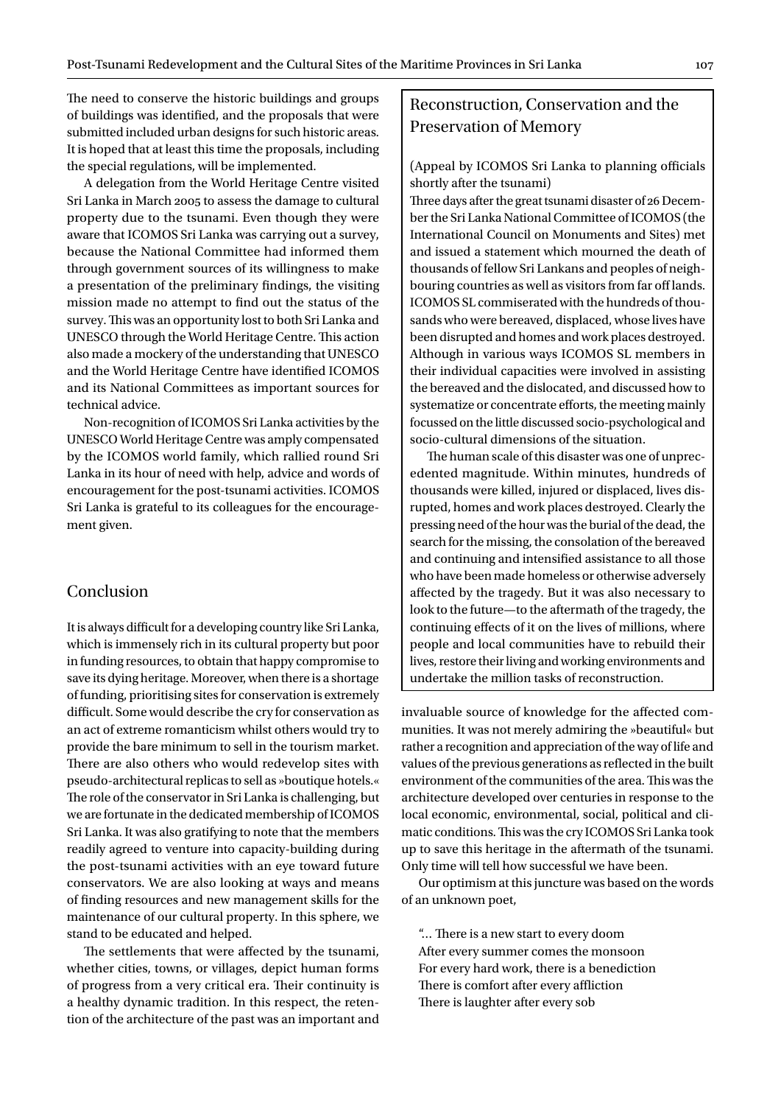The need to conserve the historic buildings and groups of buildings was identified, and the proposals that were submitted included urban designs for such historic areas. It is hoped that at least this time the proposals, including the special regulations, will be implemented.

A delegation from the World Heritage Centre visited Sri Lanka in March 2005 to assess the damage to cultural property due to the tsunami. Even though they were aware that ICOMOS Sri Lanka was carrying out a survey, because the National Committee had informed them through government sources of its willingness to make a presentation of the preliminary findings, the visiting mission made no attempt to find out the status of the survey. This was an opportunity lost to both Sri Lanka and UNESCO through the World Heritage Centre. This action also made a mockery of the understanding that UNESCO and the World Heritage Centre have identified ICOMOS and its National Committees as important sources for technical advice.

Non-recognition of ICOMOS Sri Lanka activities by the UNESCO World Heritage Centre was amply compensated by the ICOMOS world family, which rallied round Sri Lanka in its hour of need with help, advice and words of encouragement for the post-tsunami activities. ICOMOS Sri Lanka is grateful to its colleagues for the encouragement given.

### Conclusion

It is always difficult for a developing country like Sri Lanka, which is immensely rich in its cultural property but poor in funding resources, to obtain that happy compromise to save its dying heritage. Moreover, when there is a shortage of funding, prioritising sites for conservation is extremely difficult. Some would describe the cry for conservation as an act of extreme romanticism whilst others would try to provide the bare minimum to sell in the tourism market. There are also others who would redevelop sites with pseudo-architectural replicas to sell as »boutique hotels.« The role of the conservator in Sri Lanka is challenging, but we are fortunate in the dedicated membership of ICOMOS Sri Lanka. It was also gratifying to note that the members readily agreed to venture into capacity-building during the post-tsunami activities with an eye toward future conservators. We are also looking at ways and means of finding resources and new management skills for the maintenance of our cultural property. In this sphere, we stand to be educated and helped.

The settlements that were affected by the tsunami, whether cities, towns, or villages, depict human forms of progress from a very critical era. Their continuity is a healthy dynamic tradition. In this respect, the retention of the architecture of the past was an important and

# Reconstruction, Conservation and the Preservation of Memory

#### (Appeal by ICOMOS Sri Lanka to planning officials shortly after the tsunami)

Three days after the great tsunami disaster of 26 December the Sri Lanka National Committee of ICOMOS (the International Council on Monuments and Sites) met and issued a statement which mourned the death of thousands of fellow Sri Lankans and peoples of neighbouring countries as well as visitors from far off lands. ICOMOS SL commiserated with the hundreds of thousands who were bereaved, displaced, whose lives have been disrupted and homes and work places destroyed. Although in various ways ICOMOS SL members in their individual capacities were involved in assisting the bereaved and the dislocated, and discussed how to systematize or concentrate efforts, the meeting mainly focussed on the little discussed socio-psychological and socio-cultural dimensions of the situation.

The human scale of this disaster was one of unprecedented magnitude. Within minutes, hundreds of thousands were killed, injured or displaced, lives disrupted, homes and work places destroyed. Clearly the pressing need of the hour was the burial of the dead, the search for the missing, the consolation of the bereaved and continuing and intensified assistance to all those who have been made homeless or otherwise adversely affected by the tragedy. But it was also necessary to look to the future—to the aftermath of the tragedy, the continuing effects of it on the lives of millions, where people and local communities have to rebuild their lives, restore their living and working environments and undertake the million tasks of reconstruction.

invaluable source of knowledge for the affected communities. It was not merely admiring the »beautiful« but rather a recognition and appreciation of the way of life and values of the previous generations as reflected in the built environment of the communities of the area. This was the architecture developed over centuries in response to the local economic, environmental, social, political and climatic conditions. This was the cry ICOMOS Sri Lanka took up to save this heritage in the aftermath of the tsunami. Only time will tell how successful we have been.

Our optimism at this juncture was based on the words of an unknown poet,

"… There is a new start to every doom After every summer comes the monsoon For every hard work, there is a benediction There is comfort after every affliction There is laughter after every sob